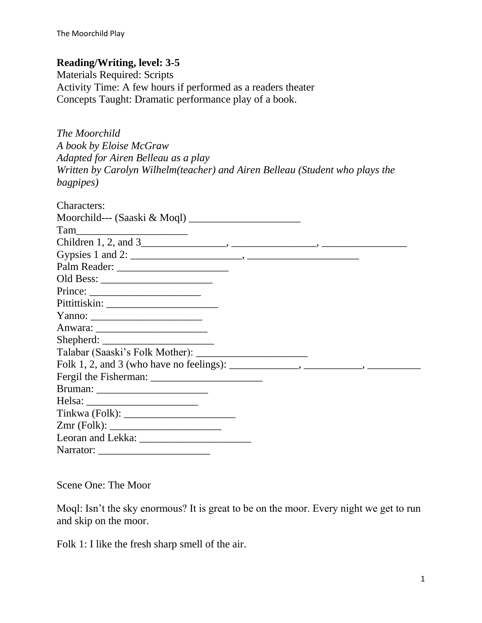## **Reading/Writing, level: 3-5**

Materials Required: Scripts Activity Time: A few hours if performed as a readers theater Concepts Taught: Dramatic performance play of a book.

| The Moorchild                                                                |
|------------------------------------------------------------------------------|
| A book by Eloise McGraw                                                      |
| Adapted for Airen Belleau as a play                                          |
| Written by Carolyn Wilhelm(teacher) and Airen Belleau (Student who plays the |
| bagpipes)                                                                    |

| Characters:                                                                                                                                                                                                                                                                                                                                                                                                                                       |  |
|---------------------------------------------------------------------------------------------------------------------------------------------------------------------------------------------------------------------------------------------------------------------------------------------------------------------------------------------------------------------------------------------------------------------------------------------------|--|
|                                                                                                                                                                                                                                                                                                                                                                                                                                                   |  |
|                                                                                                                                                                                                                                                                                                                                                                                                                                                   |  |
|                                                                                                                                                                                                                                                                                                                                                                                                                                                   |  |
|                                                                                                                                                                                                                                                                                                                                                                                                                                                   |  |
|                                                                                                                                                                                                                                                                                                                                                                                                                                                   |  |
|                                                                                                                                                                                                                                                                                                                                                                                                                                                   |  |
| $Prince: \_\_\_\_\_\_$                                                                                                                                                                                                                                                                                                                                                                                                                            |  |
|                                                                                                                                                                                                                                                                                                                                                                                                                                                   |  |
|                                                                                                                                                                                                                                                                                                                                                                                                                                                   |  |
|                                                                                                                                                                                                                                                                                                                                                                                                                                                   |  |
|                                                                                                                                                                                                                                                                                                                                                                                                                                                   |  |
|                                                                                                                                                                                                                                                                                                                                                                                                                                                   |  |
| Folk 1, 2, and 3 (who have no feelings): $\_\_\_\_\_\_\_\_\_\_$ , $\_\_\_\_\_\_\_\_$                                                                                                                                                                                                                                                                                                                                                              |  |
|                                                                                                                                                                                                                                                                                                                                                                                                                                                   |  |
|                                                                                                                                                                                                                                                                                                                                                                                                                                                   |  |
| Helsa: $\frac{1}{\sqrt{1-\frac{1}{2}} \cdot \frac{1}{2} \cdot \frac{1}{2} \cdot \frac{1}{2} \cdot \frac{1}{2} \cdot \frac{1}{2} \cdot \frac{1}{2} \cdot \frac{1}{2} \cdot \frac{1}{2} \cdot \frac{1}{2} \cdot \frac{1}{2} \cdot \frac{1}{2} \cdot \frac{1}{2} \cdot \frac{1}{2} \cdot \frac{1}{2} \cdot \frac{1}{2} \cdot \frac{1}{2} \cdot \frac{1}{2} \cdot \frac{1}{2} \cdot \frac{1}{2} \cdot \frac{1}{2} \cdot \frac{1}{2} \cdot \frac{1}{2$ |  |
|                                                                                                                                                                                                                                                                                                                                                                                                                                                   |  |
|                                                                                                                                                                                                                                                                                                                                                                                                                                                   |  |
|                                                                                                                                                                                                                                                                                                                                                                                                                                                   |  |
| Narrator: $\frac{1}{\sqrt{1-\frac{1}{2}} \cdot \frac{1}{2}}$                                                                                                                                                                                                                                                                                                                                                                                      |  |

Scene One: The Moor

Moql: Isn't the sky enormous? It is great to be on the moor. Every night we get to run and skip on the moor.

Folk 1: I like the fresh sharp smell of the air.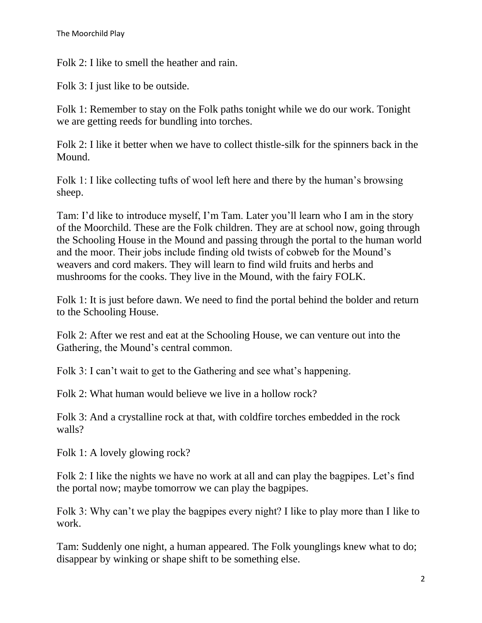Folk 2: I like to smell the heather and rain.

Folk 3: I just like to be outside.

Folk 1: Remember to stay on the Folk paths tonight while we do our work. Tonight we are getting reeds for bundling into torches.

Folk 2: I like it better when we have to collect thistle-silk for the spinners back in the Mound.

Folk 1: I like collecting tufts of wool left here and there by the human's browsing sheep.

Tam: I'd like to introduce myself, I'm Tam. Later you'll learn who I am in the story of the Moorchild. These are the Folk children. They are at school now, going through the Schooling House in the Mound and passing through the portal to the human world and the moor. Their jobs include finding old twists of cobweb for the Mound's weavers and cord makers. They will learn to find wild fruits and herbs and mushrooms for the cooks. They live in the Mound, with the fairy FOLK.

Folk 1: It is just before dawn. We need to find the portal behind the bolder and return to the Schooling House.

Folk 2: After we rest and eat at the Schooling House, we can venture out into the Gathering, the Mound's central common.

Folk 3: I can't wait to get to the Gathering and see what's happening.

Folk 2: What human would believe we live in a hollow rock?

Folk 3: And a crystalline rock at that, with coldfire torches embedded in the rock walls?

Folk 1: A lovely glowing rock?

Folk 2: I like the nights we have no work at all and can play the bagpipes. Let's find the portal now; maybe tomorrow we can play the bagpipes.

Folk 3: Why can't we play the bagpipes every night? I like to play more than I like to work.

Tam: Suddenly one night, a human appeared. The Folk younglings knew what to do; disappear by winking or shape shift to be something else.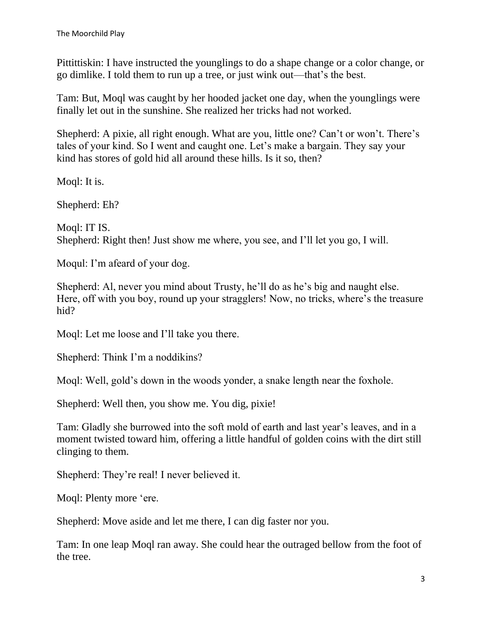Pittittiskin: I have instructed the younglings to do a shape change or a color change, or go dimlike. I told them to run up a tree, or just wink out—that's the best.

Tam: But, Moql was caught by her hooded jacket one day, when the younglings were finally let out in the sunshine. She realized her tricks had not worked.

Shepherd: A pixie, all right enough. What are you, little one? Can't or won't. There's tales of your kind. So I went and caught one. Let's make a bargain. They say your kind has stores of gold hid all around these hills. Is it so, then?

Moql: It is.

Shepherd: Eh?

Moql: IT IS. Shepherd: Right then! Just show me where, you see, and I'll let you go, I will.

Moqul: I'm afeard of your dog.

Shepherd: Al, never you mind about Trusty, he'll do as he's big and naught else. Here, off with you boy, round up your stragglers! Now, no tricks, where's the treasure hid?

Moql: Let me loose and I'll take you there.

Shepherd: Think I'm a noddikins?

Moql: Well, gold's down in the woods yonder, a snake length near the foxhole.

Shepherd: Well then, you show me. You dig, pixie!

Tam: Gladly she burrowed into the soft mold of earth and last year's leaves, and in a moment twisted toward him, offering a little handful of golden coins with the dirt still clinging to them.

Shepherd: They're real! I never believed it.

Moql: Plenty more 'ere.

Shepherd: Move aside and let me there, I can dig faster nor you.

Tam: In one leap Moql ran away. She could hear the outraged bellow from the foot of the tree.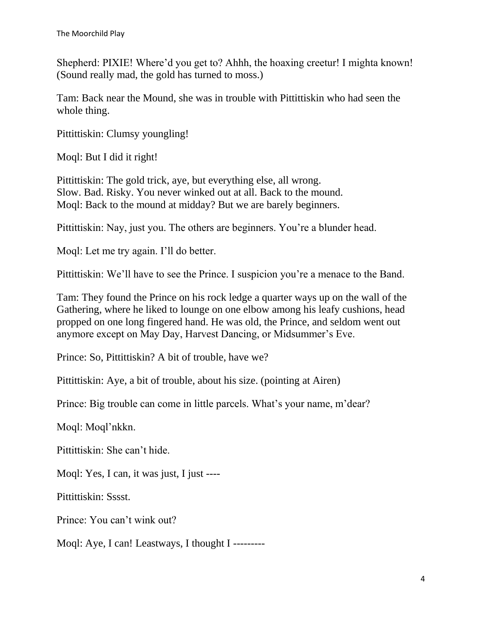Shepherd: PIXIE! Where'd you get to? Ahhh, the hoaxing creetur! I mighta known! (Sound really mad, the gold has turned to moss.)

Tam: Back near the Mound, she was in trouble with Pittittiskin who had seen the whole thing.

Pittittiskin: Clumsy youngling!

Moql: But I did it right!

Pittittiskin: The gold trick, aye, but everything else, all wrong. Slow. Bad. Risky. You never winked out at all. Back to the mound. Moql: Back to the mound at midday? But we are barely beginners.

Pittittiskin: Nay, just you. The others are beginners. You're a blunder head.

Moql: Let me try again. I'll do better.

Pittittiskin: We'll have to see the Prince. I suspicion you're a menace to the Band.

Tam: They found the Prince on his rock ledge a quarter ways up on the wall of the Gathering, where he liked to lounge on one elbow among his leafy cushions, head propped on one long fingered hand. He was old, the Prince, and seldom went out anymore except on May Day, Harvest Dancing, or Midsummer's Eve.

Prince: So, Pittittiskin? A bit of trouble, have we?

Pittittiskin: Aye, a bit of trouble, about his size. (pointing at Airen)

Prince: Big trouble can come in little parcels. What's your name, m'dear?

Moql: Moql'nkkn.

Pittittiskin: She can't hide.

Moql: Yes, I can, it was just, I just ----

Pittittiskin: Sssst.

Prince: You can't wink out?

Moql: Aye, I can! Leastways, I thought I ---------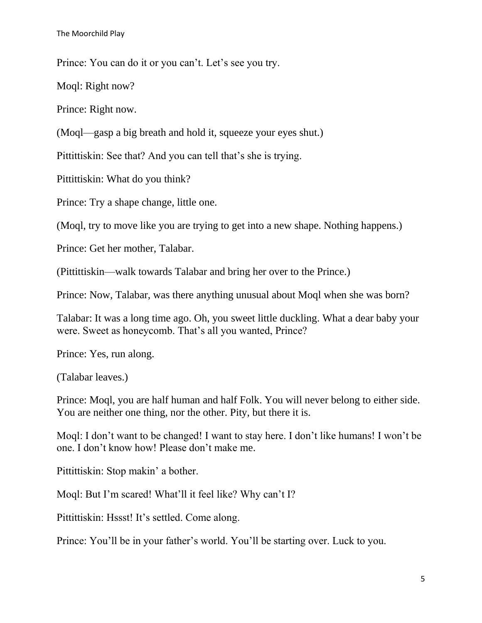Prince: You can do it or you can't. Let's see you try.

Moql: Right now?

Prince: Right now.

(Moql—gasp a big breath and hold it, squeeze your eyes shut.)

Pittittiskin: See that? And you can tell that's she is trying.

Pittittiskin: What do you think?

Prince: Try a shape change, little one.

(Moql, try to move like you are trying to get into a new shape. Nothing happens.)

Prince: Get her mother, Talabar.

(Pittittiskin—walk towards Talabar and bring her over to the Prince.)

Prince: Now, Talabar, was there anything unusual about Moql when she was born?

Talabar: It was a long time ago. Oh, you sweet little duckling. What a dear baby your were. Sweet as honeycomb. That's all you wanted, Prince?

Prince: Yes, run along.

(Talabar leaves.)

Prince: Moql, you are half human and half Folk. You will never belong to either side. You are neither one thing, nor the other. Pity, but there it is.

Moql: I don't want to be changed! I want to stay here. I don't like humans! I won't be one. I don't know how! Please don't make me.

Pittittiskin: Stop makin' a bother.

Moql: But I'm scared! What'll it feel like? Why can't I?

Pittittiskin: Hssst! It's settled. Come along.

Prince: You'll be in your father's world. You'll be starting over. Luck to you.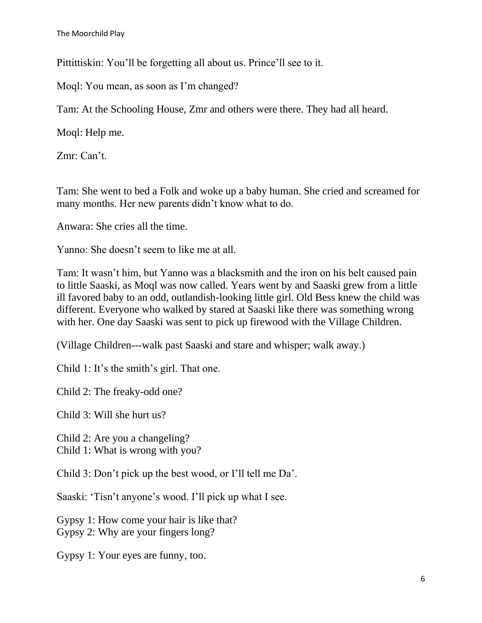Pittittiskin: You'll be forgetting all about us. Prince'll see to it.

Moql: You mean, as soon as I'm changed?

Tam: At the Schooling House, Zmr and others were there. They had all heard.

Moql: Help me.

Zmr: Can't.

Tam: She went to bed a Folk and woke up a baby human. She cried and screamed for many months. Her new parents didn't know what to do.

Anwara: She cries all the time.

Yanno: She doesn't seem to like me at all.

Tam: It wasn't him, but Yanno was a blacksmith and the iron on his belt caused pain to little Saaski, as Moql was now called. Years went by and Saaski grew from a little ill favored baby to an odd, outlandish-looking little girl. Old Bess knew the child was different. Everyone who walked by stared at Saaski like there was something wrong with her. One day Saaski was sent to pick up firewood with the Village Children.

(Village Children---walk past Saaski and stare and whisper; walk away.)

Child 1: It's the smith's girl. That one.

Child 2: The freaky-odd one?

Child 3: Will she hurt us?

Child 2: Are you a changeling?

Child 1: What is wrong with you?

Child 3: Don't pick up the best wood, or I'll tell me Da'.

Saaski: 'Tisn't anyone's wood. I'll pick up what I see.

Gypsy 1: How come your hair is like that? Gypsy 2: Why are your fingers long?

Gypsy 1: Your eyes are funny, too.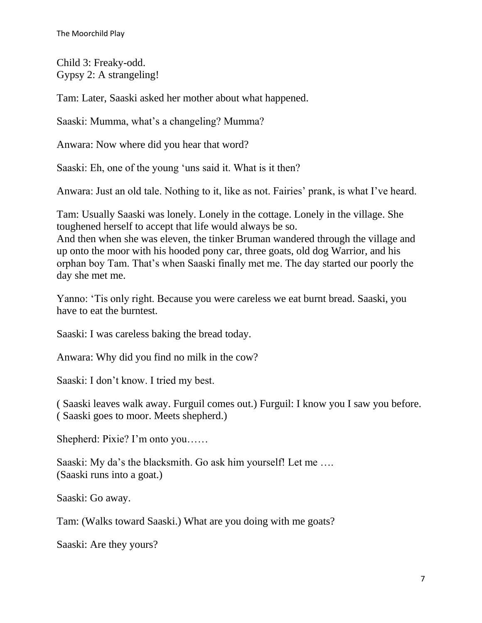Child 3: Freaky-odd. Gypsy 2: A strangeling!

Tam: Later, Saaski asked her mother about what happened.

Saaski: Mumma, what's a changeling? Mumma?

Anwara: Now where did you hear that word?

Saaski: Eh, one of the young 'uns said it. What is it then?

Anwara: Just an old tale. Nothing to it, like as not. Fairies' prank, is what I've heard.

Tam: Usually Saaski was lonely. Lonely in the cottage. Lonely in the village. She toughened herself to accept that life would always be so.

And then when she was eleven, the tinker Bruman wandered through the village and up onto the moor with his hooded pony car, three goats, old dog Warrior, and his orphan boy Tam. That's when Saaski finally met me. The day started our poorly the day she met me.

Yanno: 'Tis only right. Because you were careless we eat burnt bread. Saaski, you have to eat the burntest.

Saaski: I was careless baking the bread today.

Anwara: Why did you find no milk in the cow?

Saaski: I don't know. I tried my best.

( Saaski leaves walk away. Furguil comes out.) Furguil: I know you I saw you before. ( Saaski goes to moor. Meets shepherd.)

Shepherd: Pixie? I'm onto you……

Saaski: My da's the blacksmith. Go ask him yourself! Let me .... (Saaski runs into a goat.)

Saaski: Go away.

Tam: (Walks toward Saaski.) What are you doing with me goats?

Saaski: Are they yours?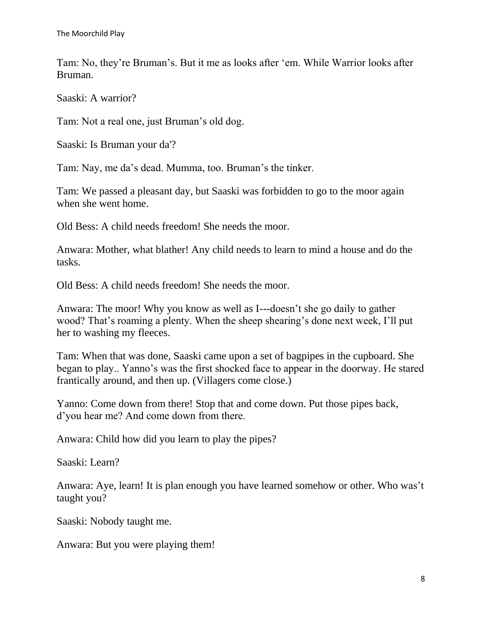Tam: No, they're Bruman's. But it me as looks after 'em. While Warrior looks after Bruman.

Saaski: A warrior?

Tam: Not a real one, just Bruman's old dog.

Saaski: Is Bruman your da'?

Tam: Nay, me da's dead. Mumma, too. Bruman's the tinker.

Tam: We passed a pleasant day, but Saaski was forbidden to go to the moor again when she went home.

Old Bess: A child needs freedom! She needs the moor.

Anwara: Mother, what blather! Any child needs to learn to mind a house and do the tasks.

Old Bess: A child needs freedom! She needs the moor.

Anwara: The moor! Why you know as well as I---doesn't she go daily to gather wood? That's roaming a plenty. When the sheep shearing's done next week, I'll put her to washing my fleeces.

Tam: When that was done, Saaski came upon a set of bagpipes in the cupboard. She began to play.. Yanno's was the first shocked face to appear in the doorway. He stared frantically around, and then up. (Villagers come close.)

Yanno: Come down from there! Stop that and come down. Put those pipes back, d'you hear me? And come down from there.

Anwara: Child how did you learn to play the pipes?

Saaski: Learn?

Anwara: Aye, learn! It is plan enough you have learned somehow or other. Who was't taught you?

Saaski: Nobody taught me.

Anwara: But you were playing them!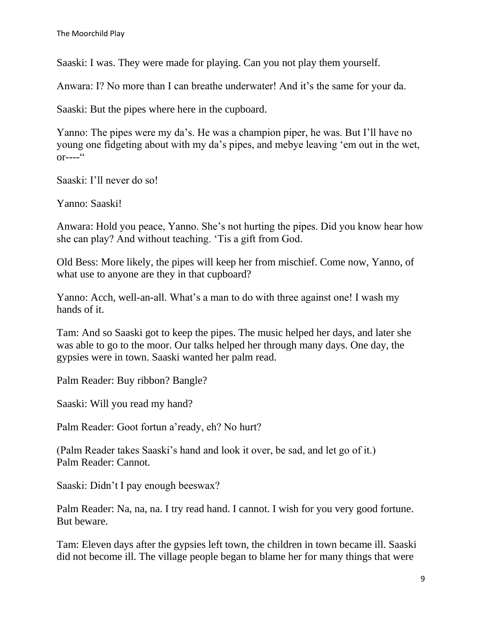Saaski: I was. They were made for playing. Can you not play them yourself.

Anwara: I? No more than I can breathe underwater! And it's the same for your da.

Saaski: But the pipes where here in the cupboard.

Yanno: The pipes were my da's. He was a champion piper, he was. But I'll have no young one fidgeting about with my da's pipes, and mebye leaving 'em out in the wet,  $or---<sup>cc</sup>$ 

Saaski: I'll never do so!

Yanno: Saaski!

Anwara: Hold you peace, Yanno. She's not hurting the pipes. Did you know hear how she can play? And without teaching. 'Tis a gift from God.

Old Bess: More likely, the pipes will keep her from mischief. Come now, Yanno, of what use to anyone are they in that cupboard?

Yanno: Acch, well-an-all. What's a man to do with three against one! I wash my hands of it.

Tam: And so Saaski got to keep the pipes. The music helped her days, and later she was able to go to the moor. Our talks helped her through many days. One day, the gypsies were in town. Saaski wanted her palm read.

Palm Reader: Buy ribbon? Bangle?

Saaski: Will you read my hand?

Palm Reader: Goot fortun a'ready, eh? No hurt?

(Palm Reader takes Saaski's hand and look it over, be sad, and let go of it.) Palm Reader: Cannot.

Saaski: Didn't I pay enough beeswax?

Palm Reader: Na, na, na. I try read hand. I cannot. I wish for you very good fortune. But beware.

Tam: Eleven days after the gypsies left town, the children in town became ill. Saaski did not become ill. The village people began to blame her for many things that were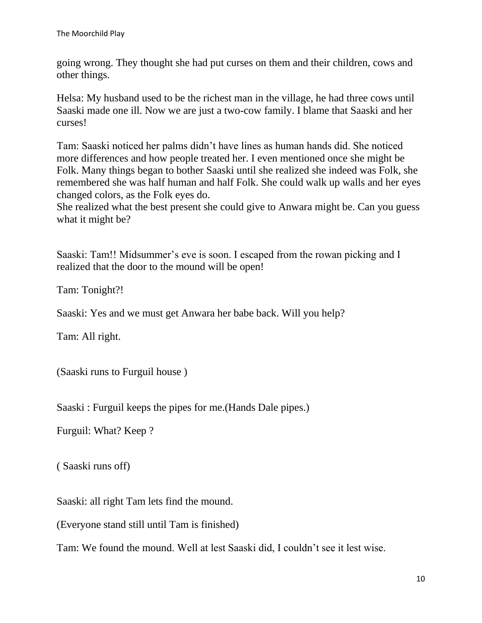going wrong. They thought she had put curses on them and their children, cows and other things.

Helsa: My husband used to be the richest man in the village, he had three cows until Saaski made one ill. Now we are just a two-cow family. I blame that Saaski and her curses!

Tam: Saaski noticed her palms didn't have lines as human hands did. She noticed more differences and how people treated her. I even mentioned once she might be Folk. Many things began to bother Saaski until she realized she indeed was Folk, she remembered she was half human and half Folk. She could walk up walls and her eyes changed colors, as the Folk eyes do.

She realized what the best present she could give to Anwara might be. Can you guess what it might be?

Saaski: Tam!! Midsummer's eve is soon. I escaped from the rowan picking and I realized that the door to the mound will be open!

Tam: Tonight?!

Saaski: Yes and we must get Anwara her babe back. Will you help?

Tam: All right.

(Saaski runs to Furguil house )

Saaski : Furguil keeps the pipes for me.(Hands Dale pipes.)

Furguil: What? Keep ?

( Saaski runs off)

Saaski: all right Tam lets find the mound.

(Everyone stand still until Tam is finished)

Tam: We found the mound. Well at lest Saaski did, I couldn't see it lest wise.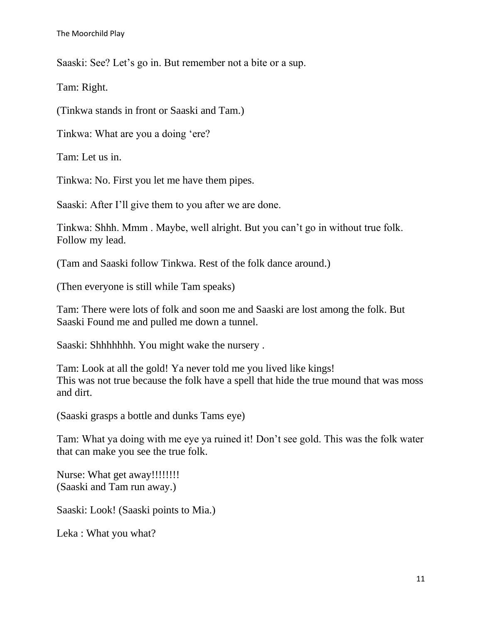Saaski: See? Let's go in. But remember not a bite or a sup.

Tam: Right.

(Tinkwa stands in front or Saaski and Tam.)

Tinkwa: What are you a doing 'ere?

Tam: Let us in.

Tinkwa: No. First you let me have them pipes.

Saaski: After I'll give them to you after we are done.

Tinkwa: Shhh. Mmm . Maybe, well alright. But you can't go in without true folk. Follow my lead.

(Tam and Saaski follow Tinkwa. Rest of the folk dance around.)

(Then everyone is still while Tam speaks)

Tam: There were lots of folk and soon me and Saaski are lost among the folk. But Saaski Found me and pulled me down a tunnel.

Saaski: Shhhhhhh. You might wake the nursery .

Tam: Look at all the gold! Ya never told me you lived like kings! This was not true because the folk have a spell that hide the true mound that was moss and dirt.

(Saaski grasps a bottle and dunks Tams eye)

Tam: What ya doing with me eye ya ruined it! Don't see gold. This was the folk water that can make you see the true folk.

Nurse: What get away!!!!!!!! (Saaski and Tam run away.)

Saaski: Look! (Saaski points to Mia.)

Leka : What you what?